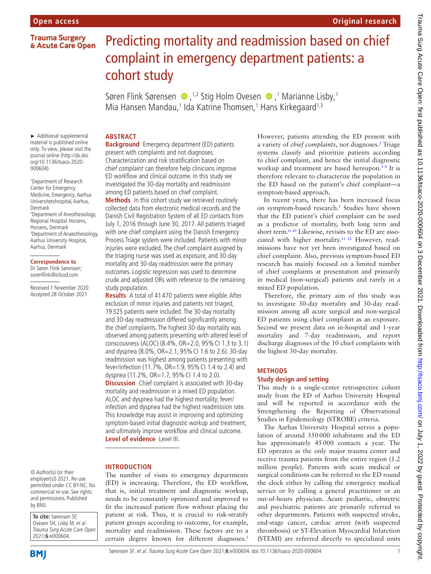# **Original research**

# Predicting mortality and readmission based on chief complaint in emergency department patients: a cohort study

Søren Flink Sørensen  $\bullet$  ,<sup>1,2</sup> Stig Holm Ovesen  $\bullet$  ,<sup>1</sup> Marianne Lisby,<sup>1</sup> Mia Hansen Mandau,<sup>1</sup> Ida Katrine Thomsen,<sup>1</sup> Hans Kirkegaard<sup>1,3</sup>

# **ABSTRACT**

► Additional supplemental material is published online only. To view, please visit the journal online ([http://dx.doi.](http://dx.doi.org/10.1136/tsaco-2020-000604) [org/10.1136/tsaco-2020-](http://dx.doi.org/10.1136/tsaco-2020-000604) [000604](http://dx.doi.org/10.1136/tsaco-2020-000604)).

1 Department of Research Center for Emergency Medicine, Emergency, Aarhus Universitetshospital, Aarhus, Denmark 2 Department of Anesthesiology, Regional Hospital Horsens, Horsens, Denmark 3 Department of Anaesthesiology, Aarhus University Hospital, Aarhus, Denmark

#### **Correspondence to**

Dr Søren Flink Sørensen; sorenflink@icloud.com

Received 1 November 2020 Accepted 28 October 2021

**Background** Emergency department (ED) patients present with complaints and not diagnoses. Characterization and risk stratification based on chief complaint can therefore help clinicians improve ED workflow and clinical outcome. In this study we investigated the 30-day mortality and readmission

among ED patients based on chief complaint. **Methods** In this cohort study we retrieved routinely collected data from electronic medical records and the Danish Civil Registration System of all ED contacts from July 1, 2016 through June 30, 2017. All patients triaged with one chief complaint using the Danish Emergency Process Triage system were included. Patients with minor injuries were excluded. The chief complaint assigned by the triaging nurse was used as exposure, and 30-day mortality and 30-day readmission were the primary outcomes. Logistic regression was used to determine crude and adjusted ORs with reference to the remaining study population.

**Results** A total of 41 470 patients were eligible. After exclusion of minor injuries and patients not triaged, 19 325 patients were included. The 30-day mortality and 30-day readmission differed significantly among the chief complaints. The highest 30-day mortality was observed among patients presenting with altered level of conscousness (ALOC) (8.4%, OR=2.0, 95%CI 1.3 to 3.1) and dyspnea (8.0%, OR=2.1, 95%CI 1.6 to 2.6). 30-day readmission was highest among patients presenting with fever/infection (11.7%, OR=1.9, 95%CI 1.4 to 2.4) and dyspnea (11.2%, OR=1.7, 95%CI 1.4 to 2.0). **Discussion** Chief complaint is associated with 30-day mortality and readmission in a mixed ED population. ALOC and dyspnea had the highest mortality; fever/ infection and dyspnea had the highest readmission rate. This knowledge may assist in improving and optimizing symptom-based initial diagnostic workup and treatment, and ultimately improve workflow and clinical outcome. **Level of evidence** Level III.

#### **INTRODUCTION**

© Author(s) (or their employer(s)) 2021. Re-use permitted under CC BY-NC. No commercial re-use. See rights and permissions. Published by BMJ.

**To cite:** Sørensen SF, Ovesen SH, Lisby M, et al. Trauma Surg Acute Care Open 2021;**6**:e000604.



The number of visits to emergency departments (ED) is increasing. Therefore, the ED workflow, that is, initial treatment and diagnostic workup, needs to be constantly optimized and improved to fit the increased patient flow without placing the patient at risk. Thus, it is crucial to risk-stratify patient groups according to outcome, for example, mortality and readmission. These factors are to a certain degree known for different diagnoses.<sup>1</sup>

However, patients attending the ED present with a variety of *chief complaints*, not diagnoses.<sup>2</sup> Triage systems classify and prioritize patients according to chief complaint, and hence the initial diagnostic workup and treatment are based hereupon.<sup>34</sup> It is therefore relevant to characterize the population in the ED based on the patient's chief complaint—a symptom-based approach.

In recent years, there has been increased focus on symptom-based research.<sup>5</sup> Studies have shown that the ED patient's chief complaint can be used as a predictor of mortality, both long term and short term.<sup>6-10</sup> Likewise, revisits to the ED are associated with higher mortality.[11 12](#page-8-2) However, readmissions have not yet been investigated based on chief complaint. Also, previous symptom-based ED research has mainly focused on a limited number of chief complaints at presentation and primarily in medical (non-surgical) patients and rarely in a mixed ED population.

Therefore, the primary aim of this study was to investigate 30-day mortality and 30-day readmission among all acute surgical and non-surgical ED patients using chief complaint as an exposure. Second we present data on in-hospital and 1-year mortality and 7-day readmission, and report discharge diagnoses of the 10 chief complaints with the highest 30-day mortality.

# **METHODS**

#### **Study design and setting**

This study is a single-center retrospective cohort study from the ED of Aarhus University Hospital and will be reported in accordance with the Strengthening the Reporting of Observational Studies in Epidemiology (STROBE) criteria.

The Aarhus University Hospital serves a population of around 350000 inhabitants and the ED has approximately 45000 contacts a year. The ED operates as the only major trauma center and receive trauma patients from the entire region (1.2 million people). Patients with acute medical or surgical conditions can be referred to the ED round the clock either by calling the emergency medical service or by calling a general practitioner or an out-of-hours physician. Acute pediatric, obstetric and psychiatric patients are primarily referred to other departments. Patients with suspected stroke, end-stage cancer, cardiac arrest (with suspected thrombosis) or ST-Elevation Myocardial Infarction (STEMI) are referred directly to specialized units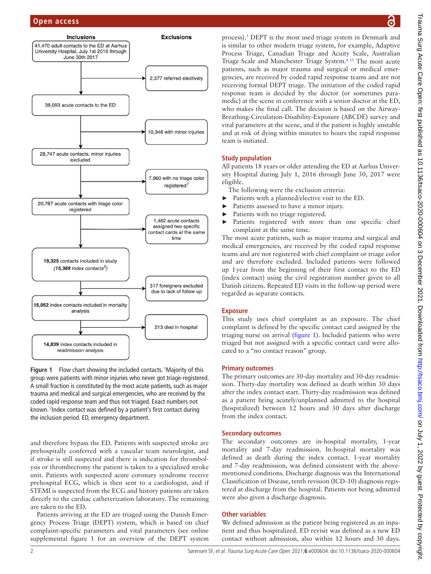

<span id="page-1-0"></span>Figure 1 Flow chart showing the included contacts. <sup>1</sup>Majority of this group were patients with minor injuries who never got triage-registered. A small fraction is constituted by the most acute patients, such as major trauma and medical and surgical emergencies, who are received by the coded rapid response team and thus not triaged. Exact numbers not known. 2 Index contact was defined by a patient's first contact during the inclusion period. ED, emergency department.

and therefore bypass the ED. Patients with suspected stroke are prehospitally conferred with a vascular team neurologist, and if stroke is still suspected and there is indication for thrombolysis or thrombectomy the patient is taken to a specialized stroke unit. Patients with suspected acute coronary syndrome receive prehospital ECG, which is then sent to a cardiologist, and if STEMI is suspected from the ECG and history patients are taken directly to the cardiac catheterization laboratory. The remaining are taken to the ED.

Patients arriving at the ED are triaged using the Danish Emergency Process Triage (DEPT) system, which is based on chief complaint-specific parameters and vital parameters (see [online](https://dx.doi.org/10.1136/tsaco-2020-000604)  [supplemental figure 1](https://dx.doi.org/10.1136/tsaco-2020-000604) for an overview of the DEPT system

process).<sup>[3](#page-7-1)</sup> DEPT is the most used triage system in Denmark and is similar to other modern triage system, for example, Adaptive Process Triage, Canadian Triage and Acuity Scale, Australian Triage Scale and Manchester Triage System.[4 13](#page-7-2) The most acute patients, such as major trauma and surgical or medical emergencies, are received by coded rapid response teams and are not receiving formal DEPT triage. The initiation of the coded rapid response team is decided by the doctor (or sometimes paramedic) at the scene in conference with a senior doctor at the ED, who makes the final call. The decision is based on the Airway-Breathing-Circulation-Disability-Exposure (ABCDE) survey and vital parameters at the scene, and if the patient is highly unstable and at risk of dying within minutes to hours the rapid response team is initiated.

# **Study population**

All patients 18 years or older attending the ED at Aarhus University Hospital during July 1, 2016 through June 30, 2017 were eligible.

The following were the exclusion criteria:

- ► Patients with a planned/elective visit to the ED.
- Patients assessed to have a minor injury.
- Patients with no triage registered.
- ► Patients registered with more than one specific chief complaint at the same time.

The most acute patients, such as major trauma and surgical and medical emergencies, are received by the coded rapid response teams and are not registered with chief complaint or triage color and are therefore excluded. Included patients were followed up 1year from the beginning of their first contact to the ED (index contact) using the civil registration number given to all Danish citizens. Repeated ED visits in the follow-up period were regarded as separate contacts.

# **Exposure**

This study uses chief complaint as an exposure. The chief complaint is defined by the specific contact card assigned by the triaging nurse on arrival ([figure](#page-1-0) 1). Included patients who were triaged but not assigned with a specific contact card were allocated to a "no contact reason" group.

#### **Primary outcomes**

The primary outcomes are 30-day mortality and 30-day readmission. Thirty-day mortality was defined as death within 30 days after the index contact start. Thirty-day readmission was defined as a patient being acutely/unplanned admitted to the hospital (hospitalized) between 12 hours and 30 days after discharge from the index contact.

#### **Secondary outcomes**

The secondary outcomes are in-hospital mortality, 1-year mortality and 7-day readmission. In-hospital mortality was defined as death during the index contact. 1-year mortality and 7-day readmission, was defined consistent with the abovementioned conditions. Discharge diagnosis was the International Classification of Disease, tenth revision (ICD-10) diagnosis registered at discharge from the hospital. Patients not being admitted were also given a discharge diagnosis.

# **Other variables**

We defined admission as the patient being registered as an inpatient and thus hospitalized. ED revisit was defined as a new ED contact without admission, also within 12 hours and 30 days.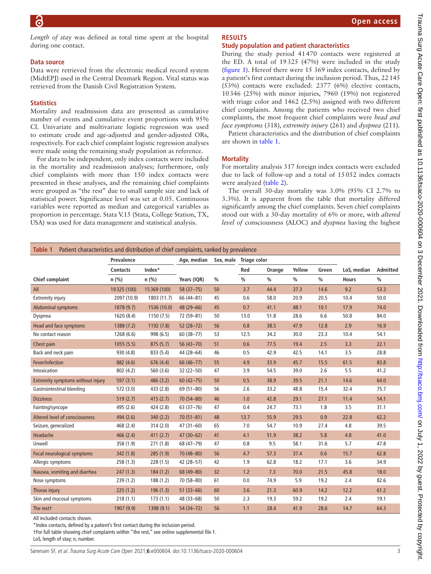*Length of stay* was defined as total time spent at the hospital during one contact.

#### **Data source**

Data were retrieved from the electronic medical record system (MidtEPJ) used in the Central Denmark Region. Vital status was retrieved from the Danish Civil Registration System.

#### **Statistics**

Mortality and readmission data are presented as cumulative number of events and cumulative event proportions with 95% CI. Univariate and multivariate logistic regression was used to estimate crude and age-adjusted and gender-adjusted ORs, respectively. For each chief complaint logistic regression analyses were made using the remaining study population as reference.

For data to be independent, only index contacts were included in the mortality and readmission analyses; furthermore, only chief complaints with more than 150 index contacts were presented in these analyses, and the remaining chief complaints were grouped as "the rest" due to small sample size and lack of statistical power. Significance level was set at 0.05. Continuous variables were reported as median and categorical variables as proportion in percentage. Stata V.15 (Stata, College Station, TX, USA) was used for data management and statistical analysis.

#### **RESULTS**

#### **Study population and patient characteristics**

During the study period 41470 contacts were registered at the ED. A total of 19325 (47%) were included in the study ([figure](#page-1-0) 1). Hereof there were 15 369 index contacts, defined by a patient's first contact during the inclusion period. Thus, 22145 (53%) contacts were excluded: 2377 (6%) elective contacts, 10346 (25%) with minor injuries, 7960 (19%) not registered with triage color and 1462 (2.5%) assigned with two different chief complaints. Among the patients who received two chief complaints, the most frequent chief complaints were *head and face symptoms* (318), *extremity injury* (261) and *dyspnea* (211).

Patient characteristics and the distribution of chief complaints are shown in [table](#page-2-0) 1.

#### **Mortality**

For mortality analysis 317 foreign index contacts were excluded due to lack of follow-up and a total of 15052 index contacts were analyzed ([table](#page-3-0) 2).

The overall 30-day mortality was 3.0% (95% CI 2.7% to 3.3%). It is apparent from the table that mortality differed significantly among the chief complaints. Seven chief complaints stood out with a 30-day mortality of 6% or more, with *altered level of* consciousness (ALOC) and *dyspnea* having the highest

<span id="page-2-0"></span>

|                                   | <b>Prevalence</b> |             | Age, median   |               | Sex, male Triage color |               |               |               |              |               |
|-----------------------------------|-------------------|-------------|---------------|---------------|------------------------|---------------|---------------|---------------|--------------|---------------|
|                                   | <b>Contacts</b>   | Index*      |               |               | Red                    | Orange        | Yellow        | Green         | LoS, median  | Admitted      |
| <b>Chief complaint</b>            | $n$ (%)           | n(%)        | Years (IQR)   | $\frac{0}{0}$ | $\frac{0}{0}$          | $\frac{0}{0}$ | $\frac{0}{0}$ | $\frac{0}{0}$ | <b>Hours</b> | $\frac{0}{0}$ |
| All                               | 19325 (100)       | 15369 (100) | $58(37 - 75)$ | 50            | 3.7                    | 44.4          | 37.3          | 14.6          | 9.2          | 53.3          |
| <b>Extremity injury</b>           | 2097 (10.9)       | 1803 (11.7) | 66 (44-81)    | 45            | 0.6                    | 58.0          | 20.9          | 20.5          | 10.4         | 50.0          |
| Abdominal symptoms                | 1878 (9.7)        | 1536 (10.0) | 48 (29-66)    | 45            | 0.7                    | 41.1          | 48.1          | 10.1          | 17.9         | 74.0          |
| Dyspnea                           | 1620 (8.4)        | 1150(7.5)   | 72 (59-81)    | 50            | 13.0                   | 51.8          | 28.6          | 6.6           | 50.8         | 84.0          |
| Head and face symptoms            | 1388 (7.2)        | 1192(7.8)   | $52(28-72)$   | 56            | 0.8                    | 38.5          | 47.9          | 12.8          | 2.9          | 16.9          |
| No contact reason                 | 1268 (6.6)        | 998 (6.5)   | $60(38 - 77)$ | 53            | 12.5                   | 34.2          | 30.0          | 23.3          | 10.4         | 54.1          |
| Chest pain                        | 1055(5.5)         | 875(5.7)    | $56(43 - 70)$ | 51            | 0.6                    | 77.5          | 19.4          | 2.5           | 3.3          | 22.1          |
| Back and neck pain                | 930 (4.8)         | 833 (5.4)   | 44 (28-64)    | 46            | 0.5                    | 42.9          | 42.5          | 14.1          | 3.5          | 28.8          |
| Fever/infection                   | 882 (4.6)         | 676 (4.4)   | 66 (46-77)    | 55            | 4.9                    | 33.9          | 45.7          | 15.5          | 61.5         | 83.8          |
| Intoxication                      | 802 (4.2)         | 560 (3.6)   | 32 (22-50)    | 47            | 3.9                    | 54.5          | 39.0          | 2.6           | 5.5          | 41.2          |
| Extremity symptoms without injury | 597(3.1)          | 486(3.2)    | $60(42 - 75)$ | 50            | 0.5                    | 38.9          | 39.5          | 21.1          | 14.6         | 64.0          |
| <b>Gastrointestinal bleeding</b>  | 572 (3.0)         | 433 (2.8)   | $69(51 - 80)$ | 56            | 2.6                    | 33.2          | 48.8          | 15.4          | 32.4         | 75.7          |
| <b>Dizziness</b>                  | 519(2.7)          | 415(2.7)    | 70 (54-80)    | 46            | 1.0                    | 42.8          | 29.1          | 27.1          | 11.4         | 54.1          |
| Fainting/syncope                  | 495 (2.6)         | 424 (2.8)   | $63(37-76)$   | 47            | 0.4                    | 24.7          | 73.1          | 1.8           | 3.5          | 31.1          |
| Altered level of consciousness    | 494 (2.6)         | 340(2.2)    | $70(51 - 81)$ | 48            | 13.7                   | 55.9          | 29.5          | 0.9           | 22.8         | 62.2          |
| Seizure, generalized              | 468 (2.4)         | 314(2.0)    | $47(31 - 60)$ | 65            | 7.0                    | 54.7          | 10.9          | 27.4          | 4.8          | 39.5          |
| Headache                          | 466 (2.4)         | 411(2.7)    | 47 (30-62)    | 41            | 4.1                    | 51.9          | 38.2          | 5.8           | 4.8          | 41.0          |
| Unwell                            | 358 (1.9)         | 271(1.8)    | 68 (47-79)    | 47            | 0.8                    | 9.5           | 58.1          | 31.6          | 5.7          | 47.8          |
| Focal neurological symptoms       | 342 (1.8)         | 285(1.9)    | 70 (48-80)    | 56            | 4.7                    | 57.3          | 37.4          | 0.6           | 15.7         | 62.8          |
| Allergic symptoms                 | 258 (1.3)         | 228(1.5)    | 42 (28-57)    | 42            | 1.9                    | 62.8          | 18.2          | 17.1          | 3.6          | 34.9          |
| Nausea, vomiting and diarrhea     | 247(1.3)          | 184(1.2)    | 68 (49-80)    | 32            | 1.2                    | 7.3           | 70.0          | 21.5          | 45.8         | 18.0          |
| Nose symptoms                     | 239 (1.2)         | 188(1.2)    | 70 (58-80)    | 61            | 0.0                    | 74.9          | 5.9           | 19.2          | 2.4          | 82.6          |
| Thorax injury                     | 225(1.2)          | 196(1.3)    | $51(33 - 66)$ | 60            | 3.6                    | 21.3          | 60.9          | 14.2          | 12.2         | 61.2          |
| Skin and mucosal symptoms         | 218(1.1)          | 173(1.1)    | 48 (33-68)    | 50            | 2.3                    | 19.3          | 59.2          | 19.2          | 2.4          | 19.1          |
| The restt                         | 1907 (9.9)        | 1398 (9.1)  | 54 (34-72)    | 56            | 1.1                    | 28.4          | 41.9          | 28.6          | 14.7         | 64.3          |
|                                   |                   |             |               |               |                        |               |               |               |              |               |

All included contacts shown.

\*Index contacts, defined by a patient's first contact during the inclusion period.

†For full table showing chief complaints within "the rest," see [online supplemental file 1](https://dx.doi.org/10.1136/tsaco-2020-000604).

LoS, length of stay; n, number.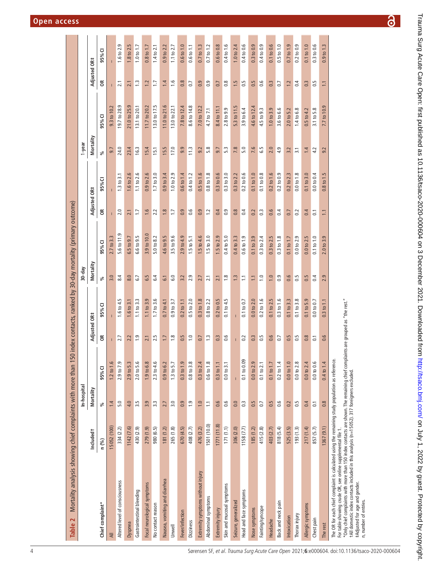<span id="page-3-0"></span>

| Mortality analysis showing chief complaints with more than 15<br>Table 2                                                                                                                                                                                                                                                                                                                                                 |             |                       |                |                          |                                 |                    | 0 index contacts, ranked by 30-day mortality (primary outcome) |                  |                        |                  |                   |                  |                                         |
|--------------------------------------------------------------------------------------------------------------------------------------------------------------------------------------------------------------------------------------------------------------------------------------------------------------------------------------------------------------------------------------------------------------------------|-------------|-----------------------|----------------|--------------------------|---------------------------------|--------------------|----------------------------------------------------------------|------------------|------------------------|------------------|-------------------|------------------|-----------------------------------------|
|                                                                                                                                                                                                                                                                                                                                                                                                                          |             | In-hospital           |                |                          |                                 | 30-day             |                                                                |                  |                        | 1-year           |                   |                  |                                         |
|                                                                                                                                                                                                                                                                                                                                                                                                                          | Includedt   | Mortality             |                | Adjusted                 | <b>OR#</b>                      | ≝<br><b>Mortal</b> |                                                                | Adjusted         | <b>OR#</b>             | Mortality        |                   | Adjusted         | <b>GR#</b>                              |
| Chief complaint*                                                                                                                                                                                                                                                                                                                                                                                                         | n (%)       | $\%$                  | 95%CI          | õ                        | ⊽<br>95%                        | వ్                 | 95% CI                                                         | g                | U<br>95%               | వ్               | 95% CI            | g                | ፣<br>95%                                |
| ₹                                                                                                                                                                                                                                                                                                                                                                                                                        | 15052 (100) | 1.4                   | 1.2 to 1.6     |                          |                                 | 3.0                | 2.7 to 3.                                                      |                  |                        | ெ                | 9.3 <sub>to</sub> |                  |                                         |
| Altered level of consciousness                                                                                                                                                                                                                                                                                                                                                                                           | 334 (2.2)   | 5.0                   | 2.9 to 7.9     | $\overline{ }$<br>$\sim$ | S<br>4.<br>1.6 to               | 8.4                | 5.6 to 11.                                                     | 2.0              | m<br>1.3 to            | 24.0             | ق<br>19.7 to 28.  | 2.1              | Ō<br>$\frac{1}{2}$<br>ڢ                 |
| Dyspnea                                                                                                                                                                                                                                                                                                                                                                                                                  | 1142(7.6)   | 4.0                   | 2.9 to 5.3     | 2.2                      | $\sim$<br>1.6 to                | 8.0                | 9.7<br>6.5 to                                                  | 21               | 2.6<br>1.6 to          | 23.4             | به<br>21.0 to 25. | 2.1              | 1.8 to 2.5                              |
| Gastrointestinal bleeding                                                                                                                                                                                                                                                                                                                                                                                                | 430 (2.9)   | 3.5                   | 2.0 to 5.6     | $\frac{0}{2}$            | 1.1 to 3.3                      | 6.7                | 6.6 to 9.5                                                     | $\overline{1}$ . | 1.1 to 2.6             | 16.3             | 13.1 to 20.1      | $\frac{3}{2}$    | 1.0 to 1.7                              |
| Focal neurological symptoms                                                                                                                                                                                                                                                                                                                                                                                              | 279 (1.9)   | 3.9                   | 1.9 to 6.8     | 2.1                      | 1.1 to 3.9                      | 6.5                | 3.9 to 10.                                                     | 1.6              | $0.9$ to $2.6$         | 15.4             | 11.7 to 20.2      | 1.2              | 0.8 <sub>to</sub>                       |
| No contact reason                                                                                                                                                                                                                                                                                                                                                                                                        | 980 (6.5)   | $\ddot{3}$            | $2.3$ to $4.6$ | FU.<br>$\sim$            | 1.7 to 3.6                      | 6.4                | 5.0 to 8.2                                                     | 2.2              | 1.7 <sub>to 3.0</sub>  | 15.1             | 13.0 to 17.5      | $\overline{1}$ . | $1.4$ to $2.$                           |
| Nausea, vomiting and diarrhea                                                                                                                                                                                                                                                                                                                                                                                            | 181(1.2)    | 2.7                   | 0.9 to 6.2     | 1.7                      | 0.7 to 4.                       | $\overline{61}$    | 4.6 to 9.5                                                     | $1.8$            | 0.9 to 3.4             | 15.5             | 11.0 to 21.6      | 1.4              | 0.9 to 2.2                              |
| Unwell                                                                                                                                                                                                                                                                                                                                                                                                                   | 265 (1.8)   | 3.0                   | $1.3$ to $5.7$ | 1.8                      | 0.9 to 3.7                      | 6.0                | 3.5 to 9.6                                                     | $\overline{1}$   | 1.0 to 2.9             | 17.0             | 13.0 to 22.1      | $\frac{6}{1}$    | 1.1 to 2.7                              |
| Fever/infection                                                                                                                                                                                                                                                                                                                                                                                                          | 670(4.5)    | 0.9                   | 0.3 to 1.9     | Ln.<br>$\circ$           | 0.2 to                          | 3.2                | 2.9 to 4.9                                                     | 0.9              | $0.6t$ o $1.4$         | 9.9              | 7.8 to 12.        | 0.8              | 0.6 to 1.0                              |
| <b>Dizziness</b>                                                                                                                                                                                                                                                                                                                                                                                                         | 408 (2.7)   | $\frac{1}{2}$         | $0.8$ to $3.8$ | $\overline{1.0}$         | $0.5$ to $2.0$                  | 2.9                | $1.5$ to $5.1$                                                 | 0.6              | 1.2<br>0.4 to          | 11.3             | 8.6 to 14.8       | 0.7              | 0.6 <sub>to</sub> 1.1                   |
| Extremity symptoms without injury                                                                                                                                                                                                                                                                                                                                                                                        | 476 (3.2)   | 1.0                   | 0.3 to 2.4     | 0.7                      | 1.8<br>0.3 to                   | 2.7                | 1.5 to 4.6                                                     | 0.9              | 1.6<br>0.5 to          | 9.2              | 7.0 to 12.2       | 0.9              | 0.7 <sub>to</sub> 1.3                   |
| Abdominal symptoms                                                                                                                                                                                                                                                                                                                                                                                                       | 1501 (10.0) | $\Xi$                 | 0.6 to 1.8     | $\ddot{.}$               | 0.8 to 2.2                      | 2.1                | $1.5$ to $3.0$                                                 | 1.2              | $0.8$ to $1.8$         | 5.8              | 4.7 to 7.1        | $\overline{0}$ . | 0.7 to 1.2                              |
| Extremity injury                                                                                                                                                                                                                                                                                                                                                                                                         | 1771(11.8)  | 0.6                   | 0.3 to 1.1     | 0.3                      | 0.2 to 0.5                      | 2.1                | 1.5 to 2.9                                                     | 0.4              | 0.3 to 0.6             | 9.7              | 8.4 to 11.1       | 0.7              | 0.6 to 0.8                              |
| Skin and mucosal symptoms                                                                                                                                                                                                                                                                                                                                                                                                | 171(1.1)    | 0.6                   | 0.0 to 3.1     | ِم<br>ö                  | 0.1 to 4.5                      | $\frac{8}{18}$     | 0.4 to 5.0                                                     | 0.9              | 0.3 to 3.0             | 53               | 2.8 to 9.9        | $0.\overline{8}$ | 0.4 to 1.6                              |
| Seizure, generalized                                                                                                                                                                                                                                                                                                                                                                                                     | 306 (2.0)   | 0.0                   | $\overline{1}$ |                          | $\mathbf{I}$                    | $\frac{3}{2}$      | 0.4 to 3.3                                                     | 0.8              | 0.3 to 2.2             | 7.8              | ŗ.<br>5.3 to 11   | 1.5              | 1.0 to 2.4                              |
| Head and face symptoms                                                                                                                                                                                                                                                                                                                                                                                                   | 1158(7.7)   | $\mathbb{C}^3$        | 0.1 to 0.09    | 0.2                      | 0.1 to 0.7                      | $\mathbb{Z}$       | 0.6 to 1.9                                                     | 0.4              | 0.2 to 0.6             | 5.0              | 3.9 to 6.4        | 0.5              | 0.4 to 0.6                              |
| Nose symptoms                                                                                                                                                                                                                                                                                                                                                                                                            | 185(1.2)    | 0.5                   | 0.0 to 2.9     | 0.3                      | 0.0 to 2.0                      | $\square$          | 0.1 to 3.9                                                     | 0.2              | 0.1 to 1.0             | 7.6              | 4.6 to 12.4       | 0.5              | 0.3 to 0.9                              |
| Fainting/syncope                                                                                                                                                                                                                                                                                                                                                                                                         | 415 (2.8)   | C <sub>0</sub>        | 0.1 to 2.1     | l rü<br>$\circ$          | $0.2$ to $1.6$                  | $\overline{1.0}$   | 0.3 to 2.4                                                     | $0.\overline{3}$ | 0.1 to 0.8             | 59               | 4.5 to 9.3        | 0.6              | 0.4 to 0.9                              |
| Headache                                                                                                                                                                                                                                                                                                                                                                                                                 | 403 (2.7)   | 0.5                   | 0.1 to 1.7     | 0.6                      | 0.1 to 2.5                      | $\overline{1.0}$   | 0.3 to 2.5                                                     | 0.6              | ڢ<br>0.2 <sub>to</sub> | 2.0              | 1.0 to 3.9        | 0.3              | 0.1 to 0.6                              |
| Back and neck pain                                                                                                                                                                                                                                                                                                                                                                                                       | 818 (5.4)   | 0.6                   | 0.2 to 1.4     | $\overline{0.7}$         | $\frac{6}{1}$<br>0.3 to         | 0.9                | 0.3 to 1.8                                                     | 0.4              | 0.2 to 0.9             | 4.9              | 3.6 to 6.6        | 0.7              | $0.5$ to $1.0$                          |
| Intoxication                                                                                                                                                                                                                                                                                                                                                                                                             | 525 (3.5)   | 0.2                   | 0.0 to 1.0     | 0.5                      | 0.1 to 3.3                      | 0.6                | 0.1 to 1.7                                                     | 0.7              | 0.2 to 2.3             | 3.2              | 2.0 to 5.2        | 1.2              | 0.7 <sub>to</sub> 1.9                   |
| Thorax injury                                                                                                                                                                                                                                                                                                                                                                                                            | 193(1.3)    | 0.5                   | 0.0 to 2.8     | Ln.<br>$\circ$           | 0.1 to 3.8                      | $\frac{15}{20}$    | $0.0$ to $2.9$                                                 | 0.2              | 0.0 to 1.8             | $\overline{3.1}$ | 1.4 to 6.8        | 0.4              | 0.2 to 0.9                              |
| Allergic symptoms                                                                                                                                                                                                                                                                                                                                                                                                        | 217(1.4)    | 0.4                   | 0.0 to 2.4     | 0.8                      | 0.1 to 5.9                      | 0.5                | 0.0 to 2.5                                                     | 0.4              | 0.1 to 3.0             | 1.4              | 4.2<br>0.5 to     | 0.3              | to 1.0<br>$\overline{0}$ .              |
| Chest pain                                                                                                                                                                                                                                                                                                                                                                                                               | 857 (5.7)   | $\overline{\text{o}}$ | 0.0 to 0.6     | $\overline{0}$           | 0.0 to 0.7                      | 0.4                | $0.1$ to $1.0$                                                 | $\overline{0}$ . | 0.0 to 0.4             | 4.2              | 5.8<br>3.1 to     | 0.5              | 0.6<br>$\mathbf{a}$<br>$0.\overline{3}$ |
| The rest                                                                                                                                                                                                                                                                                                                                                                                                                 | 1367(9.1)   | $0.\overline{8}$      | 0.4 to 1.4     | 0.6                      | 0.3 to 1.1                      | 2.9                | 2.0 to 3.9                                                     | $\Box$           | 0.8 to 1.5             | 9.2              | 7.7 to 10.        | $\Box$           | $\frac{13}{2}$<br>g,<br>0.9             |
| *Only chief complaints with more than 150 index contacts are shown. The remaining chief compla<br>The OR for each chief complaint is calculated using the remaining study population as reference.<br>For table showing crude OR, see online supplemental file 1.<br>+All domestic index contacts included in this analysis (n=15052). 317 foreigners excluded<br>#Adjusted for age and gender.<br>n, number of entries. |             |                       |                |                          | ints are grouped as "the rest." |                    |                                                                |                  |                        |                  |                   |                  |                                         |

 $\overline{\partial}$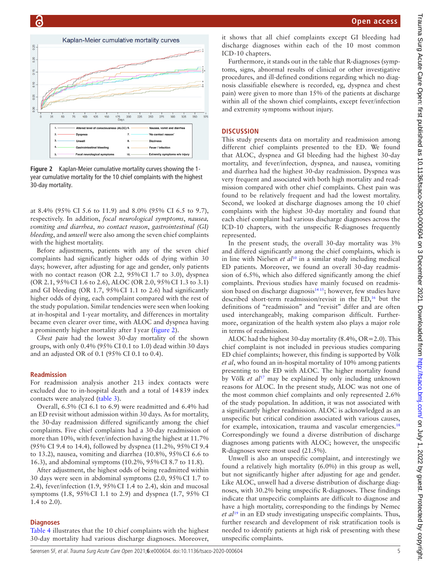

<span id="page-4-0"></span>**Figure 2** Kaplan-Meier cumulative mortality curves showing the 1 year cumulative mortality for the 10 chief complaints with the highest 30-day mortality.

at 8.4% (95% CI 5.6 to 11.9) and 8.0% (95% CI 6.5 to 9.7), respectively. In addition, *focal neurological symptoms*, *nausea, vomiting and diarrhea*, *no contact reason*, *gastrointestinal (GI) bleeding*, and *unwell* were also among the seven chief complaints with the highest mortality.

Before adjustments, patients with any of the seven chief complaints had significantly higher odds of dying within 30 days; however, after adjusting for age and gender, only patients with no contact reason (OR 2.2*,* 95%CI 1.7 to 3.0), dyspnea (OR 2.1, 95%CI 1.6 to 2.6), ALOC (OR 2.0, 95%CI 1.3 to 3.1) and GI bleeding (OR 1.7, 95%CI 1.1 to 2.6) had significantly higher odds of dying, each complaint compared with the rest of the study population. Similar tendencies were seen when looking at in-hospital and 1-year mortality, and differences in mortality became even clearer over time, with ALOC and dyspnea having a prominently higher mortality after 1year [\(figure](#page-4-0) 2).

*Chest pain* had the lowest 30-day mortality of the shown groups, with only 0.4% (95% CI 0.1 to 1.0) dead within 30 days and an adjusted OR of 0.1 (95% CI 0.1 to 0.4).

# **Readmission**

For readmission analysis another 213 index contacts were excluded due to in-hospital death and a total of 14839 index contacts were analyzed [\(table](#page-5-0) 3).

Overall, 6.5% (CI 6.1 to 6.9) were readmitted and 6.4% had an ED revisit without admission within 30 days. As for mortality, the 30-day readmission differed significantly among the chief complaints. Five chief complaints had a 30-day readmission of more than 10%, with fever/infection having the highest at 11.7% (95% CI 9.4 to 14.4), followed by dyspnea (11.2%, 95%CI 9.4 to 13.2), nausea, vomiting and diarrhea (10.8%, 95%CI 6.6 to 16.3), and abdominal symptoms (10.2%, 95%CI 8.7 to 11.8).

After adjustment, the highest odds of being readmitted within 30 days were seen in abdominal symptoms (2.0, 95%CI 1.7 to 2.4), fever/infection (1.9, 95%CI 1.4 to 2.4), skin and mucosal symptoms (1.8, 95%CI 1.1 to 2.9) and dyspnea (1.7, 95% CI 1.4 to 2.0).

#### **Diagnoses**

[Table](#page-6-0) 4 illustrates that the 10 chief complaints with the highest 30-day mortality had various discharge diagnoses. Moreover, it shows that all chief complaints except GI bleeding had discharge diagnoses within each of the 10 most common ICD-10 chapters.

Furthermore, it stands out in the table that R-diagnoses (symptoms, signs, abnormal results of clinical or other investigative procedures, and ill-defined conditions regarding which no diagnosis classifiable elsewhere is recorded, eg, dyspnea and chest pain) were given to more than 15% of the patients at discharge within all of the shown chief complaints, except fever/infection and extremity symptoms without injury.

#### **DISCUSSION**

This study presents data on mortality and readmission among different chief complaints presented to the ED. We found that ALOC, dyspnea and GI bleeding had the highest 30-day mortality, and fever/infection, dyspnea, and nausea, vomiting and diarrhea had the highest 30-day readmission. Dyspnea was very frequent and associated with both high mortality and readmission compared with other chief complaints. Chest pain was found to be relatively frequent and had the lowest mortality. Second, we looked at discharge diagnoses among the 10 chief complaints with the highest 30-day mortality and found that each chief complaint had various discharge diagnoses across the ICD-10 chapters, with the unspecific R-diagnoses frequently represented.

In the present study, the overall 30-day mortality was 3% and differed significantly among the chief complaints, which is in line with Nielsen *et al*[10](#page-8-3) in a similar study including medical ED patients. Moreover, we found an overall 30-day readmission of 6.5%, which also differed significantly among the chief complaints. Previous studies have mainly focused on readmission based on discharge diagnosis $1415$ ; however, few studies have described short-term readmission/revisit in the ED,<sup>16</sup> but the definitions of "readmission" and "revisit" differ and are often used interchangeably, making comparison difficult. Furthermore, organization of the health system also plays a major role in terms of readmission.

ALOC had the highest 30-day mortality (8.4%, OR=2.0). This chief complaint is not included in previous studies comparing ED chief complaints; however, this finding is supported by Völk *et al*, who found an in-hospital mortality of 10% among patients presenting to the ED with ALOC. The higher mortality found by Völk *et al*[17](#page-8-6) may be explained by only including unknown reasons for ALOC. In the present study, ALOC was not one of the most common chief complaints and only represented 2.6% of the study population. In addition, it was not associated with a significantly higher readmission. ALOC is acknowledged as an unspecific but critical condition associated with various causes, for example, intoxication, trauma and vascular emergencies.<sup>18</sup> Correspondingly we found a diverse distribution of discharge diagnoses among patients with ALOC; however, the unspecific R-diagnoses were most used (21.5%).

Unwell is also an unspecific complaint, and interestingly we found a relatively high mortality (6.0%) in this group as well, but not significantly higher after adjusting for age and gender. Like ALOC, unwell had a diverse distribution of discharge diagnoses, with 30.2% being unspecific R-diagnoses. These findings indicate that unspecific complaints are difficult to diagnose and have a high mortality, corresponding to the findings by Nemec *et al*[19](#page-8-8) in an ED study investigating unspecific complaints. Thus, further research and development of risk stratification tools is needed to identify patients at high risk of presenting with these unspecific complaints.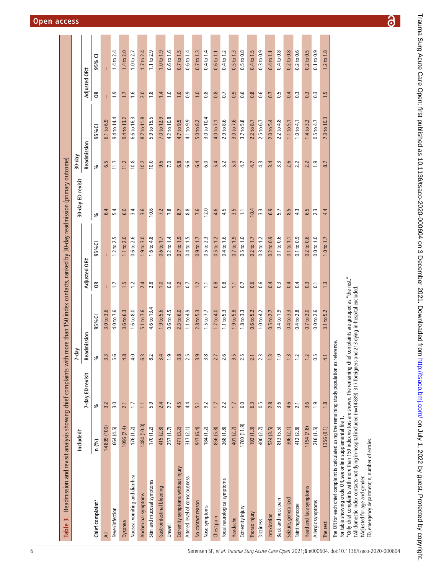| Readmission and revisit analysis showing chief complaints with more than 150 index contacts, ranked by 30-day readmission (primary outcome)<br>Table 3                                                                                                                                          |                       |                  |                                                     |                       |                      |                       |                   |                |                |                  |                            |
|-------------------------------------------------------------------------------------------------------------------------------------------------------------------------------------------------------------------------------------------------------------------------------------------------|-----------------------|------------------|-----------------------------------------------------|-----------------------|----------------------|-----------------------|-------------------|----------------|----------------|------------------|----------------------------|
|                                                                                                                                                                                                                                                                                                 | Included <sup>+</sup> |                  | 7-day                                               |                       |                      |                       | 30-day ED revisit | 30-day         |                |                  |                            |
|                                                                                                                                                                                                                                                                                                 |                       | 7-day ED revisit | Readmission                                         |                       | Adjusted OR#         |                       |                   | Readmission    |                | Adjusted OR#     |                            |
| Chief complaint*                                                                                                                                                                                                                                                                                | n (%)                 | వ్               | ళ                                                   | 95%CI                 | $\widetilde{\sigma}$ | 95% CI                | వ్                | వ్             | 95% CI         | $\epsilon$       | U<br>95%                   |
| ₹                                                                                                                                                                                                                                                                                               | 14839 (100)           | 3.2              | w.<br>3                                             | 3.0 to 3.6            | т                    |                       | 6.4               | 6.5            | 6.1 to 6.9     |                  |                            |
| Fever/infection                                                                                                                                                                                                                                                                                 | 664 (4.5)             | 3.0              | $\circ$<br>S                                        | 4.0 to 7.6            | $\ddot{ }$           | $1.2$ to $2.5$        | 5.4               | 11.7           | 9.4 to 14.4    | $\overline{0}$   | 4<br>$1.4 \text{ to } 2.4$ |
| Dyspnea                                                                                                                                                                                                                                                                                         | 1096(7.4)             | 2.1              | $\infty$<br>4                                       | 3.6 to 6.3            | 1.5                  | $1.1$ to $2.0$        | 6.0               | 11.2           | 9.4 to 13.2    | $\overline{1}$ . | $1.4$ to $2.0$             |
| Nausea, vomiting and diarrhea                                                                                                                                                                                                                                                                   | 176(1.2)              | $\overline{1}$ . | $\circ$<br>4                                        | 1.6 to 8.0            | 1.2                  | 0.6 to 2.6            | 3.4               | 10.8           | 6.6 to 16.3    | $\frac{6}{1}$    | $1.0$ to $2.7$             |
| Abdominal symptoms                                                                                                                                                                                                                                                                              | 1484 (10.0)           | $\overline{11}$  | w.<br>ق                                             | 5.1 to 7.6            | 2.4                  | 1.9 to 3.0            | 3.6               | 10.2           | 8.7 to 11.8    | 2.0              | 1.7 to 2.4                 |
| Skin and mucosal symptoms                                                                                                                                                                                                                                                                       | 170(1.2)              | 5.9              | $\overline{\mathcal{N}}$<br>$\infty$                | 4.6 to 13.4           | 2.8                  | 1.6 to 4.8            | 10.6              | 10.0           | 5.9 to 15.5    | $\frac{8}{1}$    | $1.1$ to $2.9$             |
| Gastrointestinal bleeding                                                                                                                                                                                                                                                                       | 415 (2.8)             | 2.4              | 4<br>3                                              | 1.9 to 5.6            | 1.0                  | 0.6 <sub>to</sub> 1.7 | 7.2               | 9.6            | 7.0 to 12.9    | 1.4              | 1.0 to 1.9                 |
| Unwell                                                                                                                                                                                                                                                                                          | 257(1.7)              | 2.7              | Ō.                                                  | $0.6$ to $4.5$        | 0.6                  | 0.2 to 1.4            | 7.8               | 7.0            | 4.2 to 10.8    | $\frac{0}{1}$    | 0.6 to 1.6                 |
| Extremity symptoms without injury                                                                                                                                                                                                                                                               | 471 (3.2)             | 4.5              | 3                                                   | 2.3 to 6.0            | 1.2                  | 0.7 <sub>to</sub> 1.9 | 8.7               | 6.8            | 4.7 to 9.5     | 1.0              | 0.7 <sub>to</sub> 1.5      |
| Altered level of consciousness                                                                                                                                                                                                                                                                  | 317(2.1)              | 4.4              | $\ddot{\circ}$ rue<br>$\sim$                        | 1.1 to 4.9            | 0.7                  | 0.4 to 1.5            | 8.8               | 6.6            | 4.1 to 9.9     | $\overline{0}$ . | 0.6 to 1.4                 |
| No contact reason                                                                                                                                                                                                                                                                               | 947 (6.4)             | $\overline{5}$ . | 3                                                   | 2.8 to 5.3            | 1.2                  | 0.9 to 1.7            | 7.6               | 6.4            | 5.0 to 8.2     | 1.0              | 0.7 <sub>to</sub> 1.3      |
| Nose symptoms                                                                                                                                                                                                                                                                                   | 184(1.2)              | 9.2              | $\overline{O}$ $\overline{O}$<br>$\sim$             | 1.5 to 7.7            | Ξ                    | $0.5$ to $2.3$        | 12.0              | 6.0            | 3.0 to 10.4    | $\frac{8}{1}$    | 0.4 to 1.4                 |
| Chest pain                                                                                                                                                                                                                                                                                      | 856 (5.8)             | 1.7              | $\overline{\phantom{a}}$<br>$\overline{\mathsf{c}}$ | 1.7 to 4.0            | 0.8                  | $0.5$ to $1.2$        | 4.6               | 5.4            | 4.0 to 7.1     | 0.8              | 0.6 <sub>to</sub> 1.1      |
| Focal neurological symptoms                                                                                                                                                                                                                                                                     | 268 (1.8)             | 2.2              | ∣ ⊌.<br>$\sim$                                      | 1.1 to 5.3            | $0.\overline{8}$     | 0.4 to 1.6            | 4.5               | 5.2            | 2.9 to 8.6     | $\overline{0}$   | 0.4 to 1.2                 |
| Headache                                                                                                                                                                                                                                                                                        | 401 (2.7)             | 1.7              | 3                                                   | 1.9 to 5.8            | $\square$            | 0.7 <sub>to</sub> 1.9 | 3.5               | 5.0            | 3.0 to 7.6     | 0.9              | 0.5 to 1.3                 |
| Extremity injury                                                                                                                                                                                                                                                                                | 1760 (11.9)           | 6.0              | rù rù<br>$\sim$                                     | 1.8 to 3.3            | 0.7                  | $0.5$ to $1.0$        | $\Xi$             | 4.7            | 3.7 to 5.8     | 0.6              | $0.5$ to $0.8$             |
| Thorax injury                                                                                                                                                                                                                                                                                   | 192(1.3)              | 6.3              | $\overline{\phantom{0}}$<br>$\overline{\mathbf{c}}$ | 0.6 <sub>to</sub> 5.2 | 0.6                  | $0.2$ to $1.7$        | 10.4              | 4.7            | 2.2 to 8.7     | 0.8              | 0.4 to 1.5                 |
| Dizziness                                                                                                                                                                                                                                                                                       | 400 (2.7)             | 0.5              | $\sqrt{2}$                                          | 1.0 to 4.2            | 0.6                  | $0.3$ to $1.2$        | $3.3\,$           | 43             | 2.5 to 6.7     | 0.6              | $0.3$ to $0.9$             |
| Intoxication                                                                                                                                                                                                                                                                                    | 524 (3.5)             | 2.8              | $\sim$                                              | $0.5 \text{ to } 2.7$ | 0.4                  | $0.2$ to $0.9$        | 6.9               | 3.4            | 2.0 to 5.4     | 0.7              | 0.4 to 1.1                 |
| Back and neck pain                                                                                                                                                                                                                                                                              | 813 (5.5)             | 3.6              | $\circ$                                             | 0.4 to 1.9            | $0.\overline{3}$     | 0.1 to 0.6            | 5.7               | 3.3            | 2.2 to 4.8     | 0.5              | 0.4 to 0.8                 |
| Seizure, generalized                                                                                                                                                                                                                                                                            | 306(2.1)              | 4.6              | w.                                                  | 0.4 to 3.3            | 0.4                  | $0.1$ to $1.1$        | 8.5               | 2.6            | $1.1$ to $5.1$ | 0.4              | $0.2$ to $0.8$             |
| Fainting/syncope                                                                                                                                                                                                                                                                                | 412 (2.8)             | 2.1              | $\sim$                                              | 0.4 to 2.8            | 0.4                  | 0.1 to 0.9            | 43                | 2.2            | 1.0 to 4.1     | $0.\overline{3}$ | $0.2$ to $0.6$             |
| Head and face symptoms                                                                                                                                                                                                                                                                          | 1154(7.8)             | 3.6              | Ż.                                                  | $0.7 \text{ to } 2.0$ | 0.3                  | $0.2$ to $0.6$        | 6.5               | 2.2            | $1.4$ to 3.    | 0.3              | $0.2$ to $0.5$             |
| Allergic symptoms                                                                                                                                                                                                                                                                               | 216(1.5)              | $\frac{1}{2}$    | S<br>ö                                              | $0.0$ to $2$ .        | $\overline{0}$       | $0.0$ to $1.0$        | 2.3               | $\overline{a}$ | 4.7<br>0.5 to  | $\frac{3}{2}$    | G<br>$0.1$ to $0.9$        |
| The rest                                                                                                                                                                                                                                                                                        | 1356(9.1)             | 1.8              | $\overline{\phantom{0}}$<br>4                       | $3.1$ to $5.2$        | 1.3                  | 1.0 to 1.7            | 4.4               | 8.7            | 7.3 to 10.3    | 1.5              | 1.2 to 1.8                 |
| *Only chief complaints with more than 150 index visitors are shown. The remaining chief complaints are grouned as "the rest"<br>The OR for each chief complaint is calculated using the remaining study population as reference.<br>For table showing crude OR, see online supplemental file 1. |                       |                  |                                                     |                       |                      |                       |                   |                |                |                  |                            |

\*Only chief complaints with more than 150 index visitors are shown. The remaining chief complaints are grouped as "the rest."

onry cuier complaints with more train 1 oo muce, waxoo are shown. The remaining cirier complaints are grouped as<br>†All domestic index contacts not dying in-hospital included (n=14839). 317 foreigners and 213 dying in-hospit †All domestic index contacts not dying in-hospital included (n=14 839). 317 foreigners and 213 dying in-hospital excluded.

<span id="page-5-0"></span>#Adjusted for age and gender. ‡Adjusted for age and gender.

ED, emergency department; n, number of entries. ED, emergency department; n, number of entries.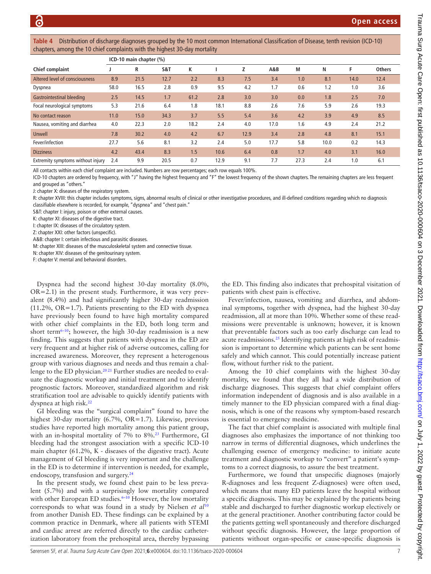<span id="page-6-0"></span>**Table 4** Distribution of discharge diagnoses grouped by the 10 most common International Classification of Disease, tenth revision (ICD-10) chapters, among the 10 chief complaints with the highest 30-day mortality

|                                   |      | ICD-10 main chapter (%) |      |      |      |      |      |      |      |      |               |
|-----------------------------------|------|-------------------------|------|------|------|------|------|------|------|------|---------------|
| Chief complaint                   |      | R                       | S&T  | ĸ    |      | Z    | A&B  | М    | N    |      | <b>Others</b> |
| Altered level of consciousness    | 8.9  | 21.5                    | 12.7 | 2.2  | 8.3  | 7.5  | 3.4  | 1.0  | 8.1  | 14.0 | 12.4          |
| Dyspnea                           | 58.0 | 16.5                    | 2.8  | 0.9  | 9.5  | 4.2  | 1.7  | 0.6  | 1.2  | 1.0  | 3.6           |
| Gastrointestinal bleeding         | 2.5  | 14.5                    | 1.7  | 61.2 | 2.8  | 3.0  | 3.0  | 0.0  | 1.8  | 2.5  | 7.0           |
| Focal neurological symptoms       | 5.3  | 21.6                    | 6.4  | 1.8  | 18.1 | 8.8  | 2.6  | 7.6  | 5.9  | 2.6  | 19.3          |
| No contact reason                 | 11.0 | 15.0                    | 34.3 | 3.7  | 5.5  | 5.4  | 3.6  | 4.2  | 3.9  | 4.9  | 8.5           |
| Nausea, vomiting and diarrhea     | 4.0  | 22.3                    | 2.0  | 18.2 | 2.4  | 4.0  | 17.0 | 1.6  | 4.9  | 2.4  | 21.2          |
| Unwell                            | 7.8  | 30.2                    | 4.0  | 4.2  | 6.7  | 12.9 | 3.4  | 2.8  | 4.8  | 8.1  | 15.1          |
| Fever/infection                   | 27.7 | 5.6                     | 8.1  | 3.2  | 2.4  | 5.0  | 17.7 | 5.8  | 10.0 | 0.2  | 14.3          |
| <b>Dizziness</b>                  | 4.2  | 43.4                    | 8.3  | 1.5  | 10.6 | 6.4  | 0.8  | 1.7  | 4.0  | 3.1  | 16.0          |
| Extremity symptoms without injury | 2.4  | 9.9                     | 20.5 | 0.7  | 12.9 | 9.1  | 7.7  | 27.3 | 2.4  | 1.0  | 6.1           |

All contacts within each chief complaint are included. Numbers are row percentages; each row equals 100%.

ICD-10 chapters are ordered by frequency, with "J" having the highest frequency and "F" the lowest frequency of the shown chapters. The remaining chapters are less frequent and grouped as "others."

J: chapter X: diseases of the respiratory system.

R: chapter XVIII: this chapter includes symptoms, signs, abnormal results of clinical or other investigative procedures, and ill-defined conditions regarding which no diagnosis classifiable elsewhere is recorded, for example, "dyspnea" and "chest pain."

S&T: chapter I: injury, poison or other external causes.

K: chapter XI: diseases of the digestive tract.

I: chapter IX: diseases of the circulatory system.

Z: chapter XXI: other factors (unspecific).

A&B: chapter I: certain infectious and parasitic diseases.

M: chapter XIII: diseases of the musculoskeletal system and connective tissue.

N: chapter XIV: diseases of the genitourinary system.

F: chapter V: mental and behavioral disorders.

Dyspnea had the second highest 30-day mortality (8.0%,  $OR=2.1$ ) in the present study. Furthermore, it was very prevalent (8.4%) and had significantly higher 30-day readmission (11.2%, OR=1.7). Patients presenting to the ED with dyspnea have previously been found to have high mortality compared with other chief complaints in the ED, both long term and short term<sup>6-10</sup>; however, the high 30-day readmission is a new finding. This suggests that patients with dyspnea in the ED are very frequent and at higher risk of adverse outcomes, calling for increased awareness. Moreover, they represent a heterogenous group with various diagnoses and needs and thus remain a challenge to the ED physician.<sup>2021</sup> Further studies are needed to evaluate the diagnostic workup and initial treatment and to identify prognostic factors. Moreover, standardized algorithm and risk stratification tool are advisable to quickly identify patients with dyspnea at high risk.<sup>22</sup>

GI bleeding was the "surgical complaint" found to have the highest 30-day mortality (6.7%, OR=1.7). Likewise, previous studies have reported high mortality among this patient group, with an in-hospital mortality of 7% to 8%[.23](#page-8-11) Furthermore, GI bleeding had the strongest association with a specific ICD-10 main chapter (61.2%, K - diseases of the digestive tract). Acute management of GI bleeding is very important and the challenge in the ED is to determine if intervention is needed, for example, endoscopy, transfusion and surgery.<sup>[24](#page-8-12)</sup>

In the present study, we found chest pain to be less prevalent (5.7%) and with a surprisingly low mortality compared with other European ED studies.<sup>6-10</sup> However, the low mortality corresponds to what was found in a study by Nielsen *et al*[10](#page-8-3) from another Danish ED. These findings can be explained by a common practice in Denmark, where all patients with STEMI and cardiac arrest are referred directly to the cardiac catheterization laboratory from the prehospital area, thereby bypassing

the ED. This finding also indicates that prehospital visitation of patients with chest pain is effective.

Fever/infection, nausea, vomiting and diarrhea, and abdominal symptoms, together with dyspnea, had the highest 30-day readmission, all at more than 10%. Whether some of these readmissions were preventable is unknown; however, it is known that preventable factors such as too early discharge can lead to acute readmissions.<sup>25</sup> Identifying patients at high risk of readmission is important to determine which patients can be sent home safely and which cannot. This could potentially increase patient flow, without further risk to the patient.

Among the 10 chief complaints with the highest 30-day mortality, we found that they all had a wide distribution of discharge diagnoses. This suggests that chief complaint offers information independent of diagnosis and is also available in a timely manner to the ED physician compared with a final diagnosis, which is one of the reasons why symptom-based research is essential to emergency medicine.

The fact that chief complaint is associated with multiple final diagnoses also emphasizes the importance of not thinking too narrow in terms of differential diagnoses, which underlines the challenging essence of emergency medicine: to initiate acute treatment and diagnostic workup to "convert" a patient's symptoms to a correct diagnosis, to assure the best treatment.

Furthermore, we found that unspecific diagnoses (majorly R-diagnoses and less frequent Z-diagnoses) were often used, which means that many ED patients leave the hospital without a specific diagnosis. This may be explained by the patients being stable and discharged to further diagnostic workup electively or at the general practitioner. Another contributing factor could be the patients getting well spontaneously and therefore discharged without specific diagnosis. However, the large proportion of patients without organ-specific or cause-specific diagnosis is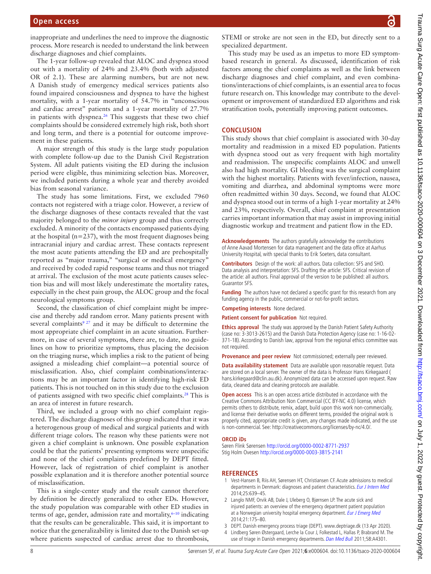inappropriate and underlines the need to improve the diagnostic process. More research is needed to understand the link between discharge diagnoses and chief complaints.

The 1-year follow-up revealed that ALOC and dyspnea stood out with a mortality of 24% and 23.4% (both with adjusted OR of 2.1). These are alarming numbers, but are not new. A Danish study of emergency medical services patients also found impaired consciousness and dyspnea to have the highest mortality, with a 1-year mortality of 54.7% in "unconscious and cardiac arrest" patients and a 1-year mortality of 27.7% in patients with dyspnea.<sup>26</sup> This suggests that these two chief complaints should be considered extremely high risk, both short and long term, and there is a potential for outcome improvement in these patients.

A major strength of this study is the large study population with complete follow-up due to the Danish Civil Registration System. All adult patients visiting the ED during the inclusion period were eligible, thus minimizing selection bias. Moreover, we included patients during a whole year and thereby avoided bias from seasonal variance.

The study has some limitations. First, we excluded 7960 contacts not registered with a triage color. However, a review of the discharge diagnoses of these contacts revealed that the vast majority belonged to the *minor injury* group and thus correctly excluded. A minority of the contacts encompassed patients dying at the hospital ( $n=237$ ), with the most frequent diagnoses being intracranial injury and cardiac arrest. These contacts represent the most acute patients attending the ED and are prehospitally reported as "major trauma," "surgical or medical emergency" and received by coded rapid response teams and thus not triaged at arrival. The exclusion of the most acute patients causes selection bias and will most likely underestimate the mortality rates, especially in the chest pain group, the ALOC group and the focal neurological symptoms group.

Second, the classification of chief complaint might be imprecise and thereby add random error. Many patients present with several complaints<sup>9 27</sup> and it may be difficult to determine the most appropriate chief complaint in an acute situation. Furthermore, in case of several symptoms, there are, to date, no guidelines on how to prioritize symptoms, thus placing the decision on the triaging nurse, which implies a risk to the patient of being assigned a misleading chief complaint—a potential source of misclassification. Also, chief complaint combinations/interactions may be an important factor in identifying high-risk ED patients. This is not touched on in this study due to the exclusion of patients assigned with two specific chief complaints.[28](#page-8-16) This is an area of interest in future research.

Third, we included a group with no chief complaint registered. The discharge diagnoses of this group indicated that it was a heterogenous group of medical and surgical patients and with different triage colors. The reason why these patients were not given a chief complaint is unknown. One possible explanation could be that the patients' presenting symptoms were unspecific and none of the chief complaints predefined by DEPT fitted. However, lack of registration of chief complaint is another possible explanation and it is therefore another potential source of misclassification.

This is a single-center study and the result cannot therefore by definition be directly generalized to other EDs. However, the study population was comparable with other ED studies in terms of age, gender, admission rate and mortality, $6-10$  indicating that the results can be generalizable. This said, it is important to notice that the generalizability is limited due to the Danish set-up where patients suspected of cardiac arrest due to thrombosis,

STEMI or stroke are not seen in the ED, but directly sent to a specialized department.

This study may be used as an impetus to more ED symptombased research in general. As discussed, identification of risk factors among the chief complaints as well as the link between discharge diagnoses and chief complaint, and even combinations/interactions of chief complaints, is an essential area to focus future research on. This knowledge may contribute to the development or improvement of standardized ED algorithms and risk stratification tools, potentially improving patient outcomes.

#### **CONCLUSION**

This study shows that chief complaint is associated with 30-day mortality and readmission in a mixed ED population. Patients with dyspnea stood out as very frequent with high mortality and readmission. The unspecific complaints ALOC and unwell also had high mortality. GI bleeding was the surgical complaint with the highest mortality. Patients with fever/infection, nausea, vomiting and diarrhea, and abdominal symptoms were more often readmitted within 30 days. Second, we found that ALOC and dyspnea stood out in terms of a high 1-year mortality at 24% and 23%, respectively. Overall, chief complaint at presentation carries important information that may assist in improving initial diagnostic workup and treatment and patient flow in the ED.

**Acknowledgements** The authors gratefully acknowledge the contributions of Anne Aavad Mortensen for data management and the data office at Aarhus University Hospital, with special thanks to Erik Soeters, data consultant.

**Contributors** Design of the work: all authors. Data collection: SFS and SHO. Data analysis and interpretation: SFS. Drafting the article: SFS. Critical revision of the article: all authors. Final approval of the version to be published: all authors. Guarantor SFS.

**Funding** The authors have not declared a specific grant for this research from any funding agency in the public, commercial or not-for-profit sectors.

**Competing interests** None declared.

**Patient consent for publication** Not required.

**Ethics approval** The study was approved by the Danish Patient Safety Authority (case no: 3-3013-2615) and the Danish Data Protection Agency (case no: 1-16-02- 371-18). According to Danish law, approval from the regional ethics committee was not required.

**Provenance and peer review** Not commissioned; externally peer reviewed.

**Data availability statement** Data are available upon reasonable request. Data are stored on a local server. The owner of the data is Professor Hans Kirkegaard ( hans.kirkegaard@clin.au.dk). Anonymized data can be accessed upon request. Raw data, cleaned data and cleaning protocols are available.

**Open access** This is an open access article distributed in accordance with the Creative Commons Attribution Non Commercial (CC BY-NC 4.0) license, which permits others to distribute, remix, adapt, build upon this work non-commercially, and license their derivative works on different terms, provided the original work is properly cited, appropriate credit is given, any changes made indicated, and the use is non-commercial. See: [http://creativecommons.org/licenses/by-nc/4.0/.](http://creativecommons.org/licenses/by-nc/4.0/)

#### **ORCID iDs**

Søren Flink Sørensen <http://orcid.org/0000-0002-8771-2937> Stig Holm Ovesen <http://orcid.org/0000-0003-3815-2141>

#### **REFERENCES**

- 1 Vest-Hansen B, Riis AH, Sørensen HT, Christiansen CF. Acute admissions to medical departments in Denmark: diagnoses and patient characteristics. [Eur J Intern Med](http://dx.doi.org/10.1016/j.ejim.2014.06.017) 2014;25:639–45.
- <span id="page-7-0"></span>2 Langlo NMF, Orvik AB, Dale J, Uleberg O, Bjørnsen LP. The acute sick and injured patients: an overview of the emergency department patient population at a Norwegian university hospital emergency department. [Eur J Emerg Med](http://dx.doi.org/10.1097/MEJ.0b013e3283629c18) 2014;21:175–80.
- <span id="page-7-1"></span>3 DEPT. Danish emergency process triage (DEPT).<www.deptriage.dk>(13 Apr 2020).
- <span id="page-7-2"></span>4 Lindberg Søren Østergaard, Lerche la Cour J, Folkestad L, Hallas P, Brabrand M. The
- use of triage in Danish emergency departments. [Dan Med Bull](http://www.ncbi.nlm.nih.gov/pubmed/21975149) 2011;58:A4301.